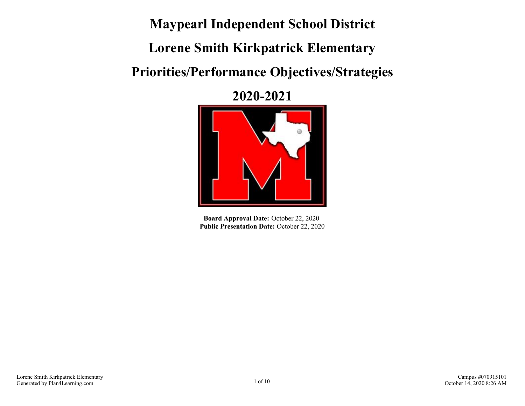**Maypearl Independent School District**

**Lorene Smith Kirkpatrick Elementary**

# **Priorities/Performance Objectives/Strategies**

**2020-2021**



**Board Approval Date:** October 22, 2020 Public Presentation Date: October 22, 2020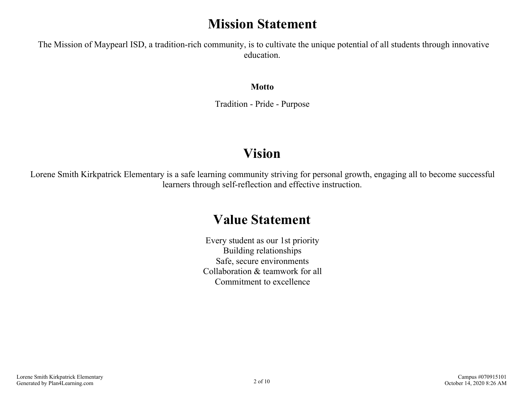## **Mission Statement**

 The Mission of Maypearl ISD, a tradition-rich community, is to cultivate the unique potential of all students through innovative education.

**Motto**

Tradition - Pride - Purpose

## **Vision**

Lorene Smith Kirkpatrick Elementary is a safe learning community striving for personal growth, engaging all to become successful learners through self-reflection and effective instruction.

## **Value Statement**

Every student as our 1st priority Building relationships Safe, secure environments Collaboration & teamwork for all Commitment to excellence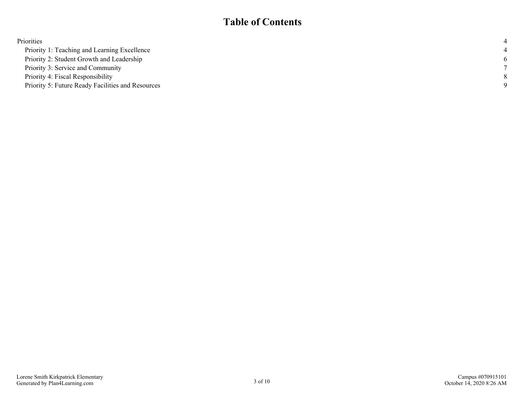### **Table of Contents**

| -6          |
|-------------|
|             |
|             |
| $\mathbf Q$ |
|             |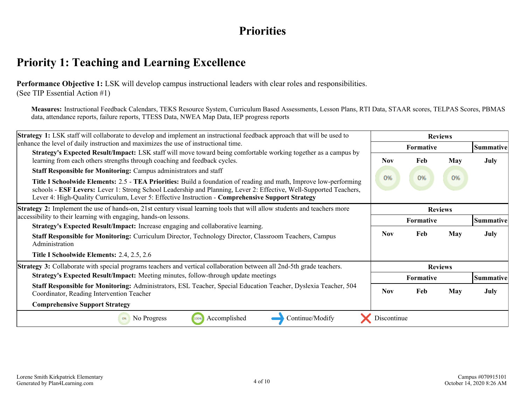## **Priorities**

## <span id="page-3-0"></span>**Priority 1: Teaching and Learning Excellence**

**Performance Objective 1:** LSK will develop campus instructional leaders with clear roles and responsibilities. (See TIP Essential Action #1)

**Measures:** Instructional Feedback Calendars, TEKS Resource System, Curriculum Based Assessments, Lesson Plans, RTI Data, STAAR scores, TELPAS Scores, PBMAS data, attendance reports, failure reports, TTESS Data, NWEA Map Data, IEP progress reports

| <b>Strategy 1:</b> LSK staff will collaborate to develop and implement an instructional feedback approach that will be used to                                                                                                                                                                                                               | <b>Reviews</b> |                  |                  |             |
|----------------------------------------------------------------------------------------------------------------------------------------------------------------------------------------------------------------------------------------------------------------------------------------------------------------------------------------------|----------------|------------------|------------------|-------------|
| enhance the level of daily instruction and maximizes the use of instructional time.                                                                                                                                                                                                                                                          | Formative      |                  | <b>Summative</b> |             |
| <b>Strategy's Expected Result/Impact:</b> LSK staff will move toward being comfortable working together as a campus by<br>learning from each others strengths through coaching and feedback cycles.                                                                                                                                          | <b>Nov</b>     | Feb              | May              | <b>July</b> |
| <b>Staff Responsible for Monitoring: Campus administrators and staff</b>                                                                                                                                                                                                                                                                     |                |                  |                  |             |
| Title I Schoolwide Elements: 2.5 - TEA Priorities: Build a foundation of reading and math, Improve low-performing<br>schools - ESF Levers: Lever 1: Strong School Leadership and Planning, Lever 2: Effective, Well-Supported Teachers,<br>Lever 4: High-Quality Curriculum, Lever 5: Effective Instruction - Comprehensive Support Strategy | 0%             | 0%               | 0%               |             |
| <b>Strategy 2:</b> Implement the use of hands-on, 21st century visual learning tools that will allow students and teachers more                                                                                                                                                                                                              | <b>Reviews</b> |                  |                  |             |
| accessibility to their learning with engaging, hands-on lessons.                                                                                                                                                                                                                                                                             |                | <b>Formative</b> |                  | Summative   |
| Strategy's Expected Result/Impact: Increase engaging and collaborative learning.                                                                                                                                                                                                                                                             |                |                  |                  |             |
| Staff Responsible for Monitoring: Curriculum Director, Technology Director, Classroom Teachers, Campus<br>Administration                                                                                                                                                                                                                     | Nov            | Feb              | <b>May</b>       | <b>July</b> |
| Title I Schoolwide Elements: 2.4, 2.5, 2.6                                                                                                                                                                                                                                                                                                   |                |                  |                  |             |
| Strategy 3: Collaborate with special programs teachers and vertical collaboration between all 2nd-5th grade teachers.                                                                                                                                                                                                                        | <b>Reviews</b> |                  |                  |             |
| Strategy's Expected Result/Impact: Meeting minutes, follow-through update meetings                                                                                                                                                                                                                                                           |                | Formative        |                  | Summative   |
| Staff Responsible for Monitoring: Administrators, ESL Teacher, Special Education Teacher, Dyslexia Teacher, 504<br>Coordinator, Reading Intervention Teacher                                                                                                                                                                                 | <b>Nov</b>     | Feb              | <b>May</b>       | <b>July</b> |
| <b>Comprehensive Support Strategy</b>                                                                                                                                                                                                                                                                                                        |                |                  |                  |             |
| No Progress<br>Accomplished<br>Continue/Modify<br>100%<br>0%                                                                                                                                                                                                                                                                                 | Discontinue    |                  |                  |             |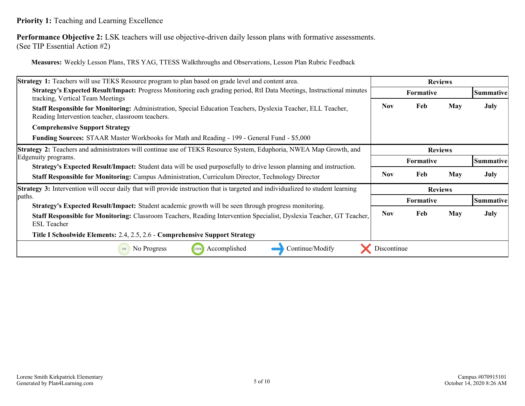### **Priority 1:** Teaching and Learning Excellence

**Performance Objective 2:** LSK teachers will use objective-driven daily lesson plans with formative assessments. (See TIP Essential Action #2)

**Measures:** Weekly Lesson Plans, TRS YAG, TTESS Walkthroughs and Observations, Lesson Plan Rubric Feedback

| Strategy 1: Teachers will use TEKS Resource program to plan based on grade level and content area.                                                                                                                              | <b>Reviews</b> |                  |            |           |
|---------------------------------------------------------------------------------------------------------------------------------------------------------------------------------------------------------------------------------|----------------|------------------|------------|-----------|
| Strategy's Expected Result/Impact: Progress Monitoring each grading period, RtI Data Meetings, Instructional minutes<br>tracking, Vertical Team Meetings                                                                        |                | <b>Formative</b> |            | Summative |
| Staff Responsible for Monitoring: Administration, Special Education Teachers, Dyslexia Teacher, ELL Teacher,<br>Reading Intervention teacher, classroom teachers.                                                               | <b>Nov</b>     | Feb              | May        | July      |
| <b>Comprehensive Support Strategy</b>                                                                                                                                                                                           |                |                  |            |           |
| <b>Funding Sources:</b> STAAR Master Workbooks for Math and Reading - 199 - General Fund - \$5,000                                                                                                                              |                |                  |            |           |
| <b>Strategy 2:</b> Teachers and administrators will continue use of TEKS Resource System, Eduphoria, NWEA Map Growth, and                                                                                                       |                | <b>Reviews</b>   |            |           |
| Edgenuity programs.                                                                                                                                                                                                             | Formative      |                  |            | Summative |
| <b>Strategy's Expected Result/Impact:</b> Student data will be used purposefully to drive lesson planning and instruction.<br>Staff Responsible for Monitoring: Campus Administration, Curriculum Director, Technology Director | <b>Nov</b>     | Feb              | <b>May</b> | July      |
| <b>Strategy 3:</b> Intervention will occur daily that will provide instruction that is targeted and individualized to student learning                                                                                          |                | <b>Reviews</b>   |            |           |
| paths.<br><b>Strategy's Expected Result/Impact:</b> Student academic growth will be seen through progress monitoring.                                                                                                           |                | <b>Formative</b> |            | Summative |
| Staff Responsible for Monitoring: Classroom Teachers, Reading Intervention Specialist, Dyslexia Teacher, GT Teacher,<br><b>ESL Teacher</b>                                                                                      | <b>Nov</b>     | Feb              | <b>May</b> | July      |
| Title I Schoolwide Elements: 2.4, 2.5, 2.6 - Comprehensive Support Strategy                                                                                                                                                     |                |                  |            |           |
| No Progress<br>Accomplished<br>Continue/Modify<br>100%<br>0%                                                                                                                                                                    | Discontinue    |                  |            |           |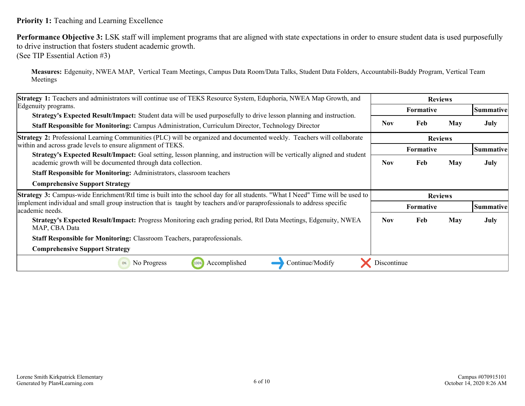#### **Priority 1:** Teaching and Learning Excellence

**Performance Objective 3:** LSK staff will implement programs that are aligned with state expectations in order to ensure student data is used purposefully to drive instruction that fosters student academic growth.

(See TIP Essential Action #3)

**Measures:** Edgenuity, NWEA MAP, Vertical Team Meetings, Campus Data Room/Data Talks, Student Data Folders, Accountabili-Buddy Program, Vertical Team Meetings

| Strategy 1: Teachers and administrators will continue use of TEKS Resource System, Eduphoria, NWEA Map Growth, and                                                                             | <b>Reviews</b>   |                  |     |                  |
|------------------------------------------------------------------------------------------------------------------------------------------------------------------------------------------------|------------------|------------------|-----|------------------|
| Edgenuity programs.                                                                                                                                                                            |                  | <b>Formative</b> |     | Summative        |
| <b>Strategy's Expected Result/Impact:</b> Student data will be used purposefully to drive lesson planning and instruction.                                                                     | <b>Nov</b>       | Feb              | May | July             |
| <b>Staff Responsible for Monitoring:</b> Campus Administration, Curriculum Director, Technology Director                                                                                       |                  |                  |     |                  |
| <b>Strategy 2:</b> Professional Learning Communities (PLC) will be organized and documented weekly. Teachers will collaborate                                                                  |                  | <b>Reviews</b>   |     |                  |
| within and across grade levels to ensure alignment of TEKS.                                                                                                                                    | <b>Formative</b> |                  |     | Summative        |
| <b>Strategy's Expected Result/Impact:</b> Goal setting, lesson planning, and instruction will be vertically aligned and student<br>academic growth will be documented through data collection. | <b>Nov</b>       | Feb              | May | July             |
| <b>Staff Responsible for Monitoring: Administrators, classroom teachers</b>                                                                                                                    |                  |                  |     |                  |
| <b>Comprehensive Support Strategy</b>                                                                                                                                                          |                  |                  |     |                  |
|                                                                                                                                                                                                |                  |                  |     |                  |
| Strategy 3: Campus-wide Enrichment/RtI time is built into the school day for all students. "What I Need" Time will be used to                                                                  |                  | <b>Reviews</b>   |     |                  |
| implement individual and small group instruction that is taught by teachers and/or paraprofessionals to address specific<br>lacademic needs.                                                   |                  | <b>Formative</b> |     | <b>Summative</b> |
| Strategy's Expected Result/Impact: Progress Monitoring each grading period, RtI Data Meetings, Edgenuity, NWEA<br>MAP, CBA Data                                                                | Nov.             | Feb              | May | July             |
| <b>Staff Responsible for Monitoring: Classroom Teachers, paraprofessionals.</b>                                                                                                                |                  |                  |     |                  |
| <b>Comprehensive Support Strategy</b>                                                                                                                                                          |                  |                  |     |                  |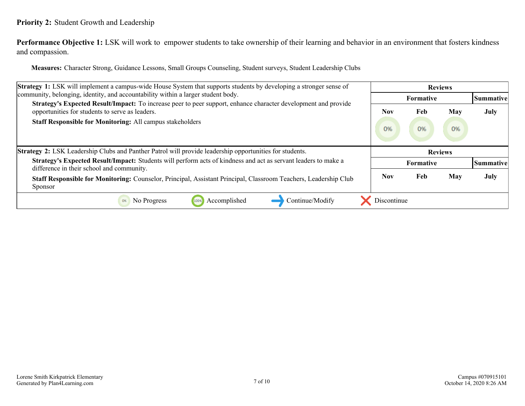### <span id="page-6-0"></span>**Priority 2:** Student Growth and Leadership

**Performance Objective 1:** LSK will work to empower students to take ownership of their learning and behavior in an environment that fosters kindness and compassion.

**Measures:** Character Strong, Guidance Lessons, Small Groups Counseling, Student surveys, Student Leadership Clubs

| <b>Strategy 1:</b> LSK will implement a campus-wide House System that supports students by developing a stronger sense of                                         | <b>Reviews</b> |                  |     |           |
|-------------------------------------------------------------------------------------------------------------------------------------------------------------------|----------------|------------------|-----|-----------|
| community, belonging, identity, and accountability within a larger student body.                                                                                  |                | <b>Formative</b> |     | Summative |
| Strategy's Expected Result/Impact: To increase peer to peer support, enhance character development and provide<br>opportunities for students to serve as leaders. | Nov            | Feb              | May | July      |
| <b>Staff Responsible for Monitoring: All campus stakeholders</b>                                                                                                  | 0%             | 0%               | 0%  |           |
|                                                                                                                                                                   |                |                  |     |           |
| <b>Strategy 2:</b> LSK Leadership Clubs and Panther Patrol will provide leadership opportunities for students.                                                    |                | <b>Reviews</b>   |     |           |
| Strategy's Expected Result/Impact: Students will perform acts of kindness and act as servant leaders to make a<br>difference in their school and community.       |                | Formative        |     | Summative |
| Staff Responsible for Monitoring: Counselor, Principal, Assistant Principal, Classroom Teachers, Leadership Club<br><b>Sponsor</b>                                | Nov            | Feb              | May | July      |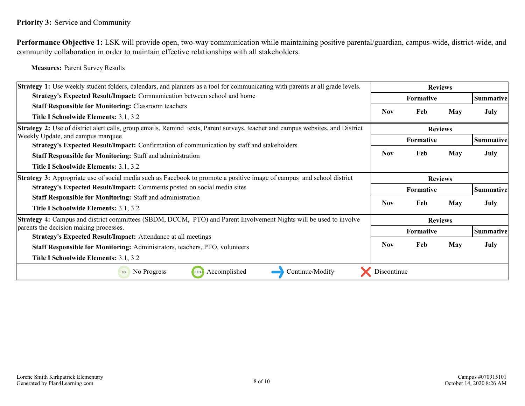<span id="page-7-0"></span>**Performance Objective 1:** LSK will provide open, two-way communication while maintaining positive parental/guardian, campus-wide, district-wide, and community collaboration in order to maintain effective relationships with all stakeholders.

**Measures:** Parent Survey Results

| Strategy 1: Use weekly student folders, calendars, and planners as a tool for communicating with parents at all grade levels.  | <b>Reviews</b>   |                  |            |                  |
|--------------------------------------------------------------------------------------------------------------------------------|------------------|------------------|------------|------------------|
| Strategy's Expected Result/Impact: Communication between school and home                                                       |                  | <b>Formative</b> |            | <b>Summative</b> |
| <b>Staff Responsible for Monitoring: Classroom teachers</b>                                                                    | Nov              | Feb              | <b>May</b> | July             |
| Title I Schoolwide Elements: 3.1, 3.2                                                                                          |                  |                  |            |                  |
| Strategy 2: Use of district alert calls, group emails, Remind texts, Parent surveys, teacher and campus websites, and District | <b>Reviews</b>   |                  |            |                  |
| Weekly Update, and campus marquee                                                                                              | Formative        |                  |            | Summative        |
| Strategy's Expected Result/Impact: Confirmation of communication by staff and stakeholders                                     |                  |                  |            |                  |
| <b>Staff Responsible for Monitoring: Staff and administration</b>                                                              | <b>Nov</b>       | Feb              | <b>May</b> | July             |
| Title I Schoolwide Elements: 3.1, 3.2                                                                                          |                  |                  |            |                  |
| <b>Strategy 3:</b> Appropriate use of social media such as Facebook to promote a positive image of campus and school district  |                  | <b>Reviews</b>   |            |                  |
| Strategy's Expected Result/Impact: Comments posted on social media sites                                                       | Formative        |                  |            | Summative        |
| <b>Staff Responsible for Monitoring: Staff and administration</b>                                                              |                  |                  |            |                  |
| Title I Schoolwide Elements: 3.1, 3.2                                                                                          | Nov              | Feb              | May        | July             |
| <b>Strategy 4:</b> Campus and district committees (SBDM, DCCM, PTO) and Parent Involvement Nights will be used to involve      | <b>Reviews</b>   |                  |            |                  |
| parents the decision making processes.                                                                                         | <b>Formative</b> |                  | Summative  |                  |
| <b>Strategy's Expected Result/Impact:</b> Attendance at all meetings                                                           |                  |                  |            |                  |
| Staff Responsible for Monitoring: Administrators, teachers, PTO, volunteers                                                    | Nov              | Feb              | May        | July             |
| Title I Schoolwide Elements: 3.1, 3.2                                                                                          |                  |                  |            |                  |
| No Progress<br>Accomplished<br>Continue/Modify<br>100%<br>0%                                                                   | Discontinue      |                  |            |                  |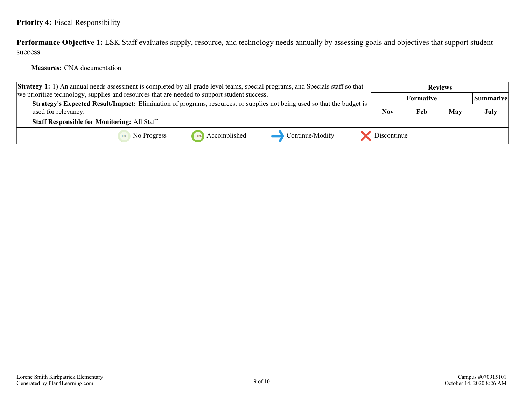### <span id="page-8-0"></span>**Priority 4:** Fiscal Responsibility

Performance Objective 1: LSK Staff evaluates supply, resource, and technology needs annually by assessing goals and objectives that support student success.

**Measures:** CNA documentation

| <b>Strategy 1:</b> 1) An annual needs assessment is completed by all grade level teams, special programs, and Specials staff so that                                                                 |                      |                 |             |                  | <b>Reviews</b> |                    |
|------------------------------------------------------------------------------------------------------------------------------------------------------------------------------------------------------|----------------------|-----------------|-------------|------------------|----------------|--------------------|
| we prioritize technology, supplies and resources that are needed to support student success.                                                                                                         |                      |                 |             | <b>Formative</b> |                | <b> Summative </b> |
| Strategy's Expected Result/Impact: Elimination of programs, resources, or supplies not being used so that the budget is<br>used for relevancy.<br><b>Staff Responsible for Monitoring: All Staff</b> |                      |                 | <b>Nov</b>  | Feb              | May            | July               |
| No Progress                                                                                                                                                                                          | Accomplished<br>100% | Continue/Modify | Discontinue |                  |                |                    |